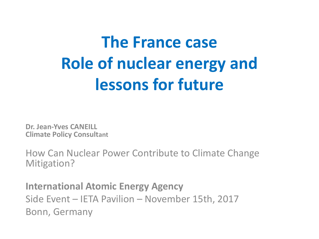# **The France case Role of nuclear energy and lessons** for future

**Dr. Jean-Yves CANEILL Climate Policy Consultant**

How Can Nuclear Power Contribute to Climate Change Mitigation? 

**International Atomic Energy Agency** Side Event – IETA Pavilion – November 15th, 2017 Bonn, Germany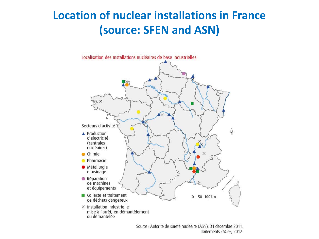### **Location of nuclear installations in France (source: SFEN and ASN)**



Source : Autorité de sûreté nucléaire (ASN), 31 décembre 2011. Traitements: SOeS, 2012.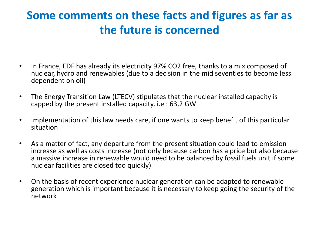## **Some** comments on these facts and figures as far as **the future is concerned**

- In France, EDF has already its electricity 97% CO2 free, thanks to a mix composed of nuclear, hydro and renewables (due to a decision in the mid seventies to become less dependent on oil)
- The Energy Transition Law (LTECV) stipulates that the nuclear installed capacity is capped by the present installed capacity, i.e:  $63,2$  GW
- Implementation of this law needs care, if one wants to keep benefit of this particular situation
- As a matter of fact, any departure from the present situation could lead to emission increase as well as costs increase (not only because carbon has a price but also because a massive increase in renewable would need to be balanced by fossil fuels unit if some nuclear facilities are closed too quickly)
- On the basis of recent experience nuclear generation can be adapted to renewable generation which is important because it is necessary to keep going the security of the network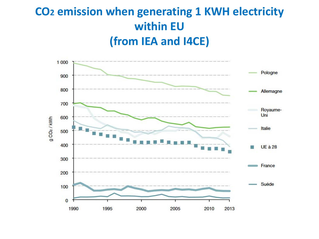# **CO2 emission when generating 1 KWH electricity within EU (from IEA and I4CE)**

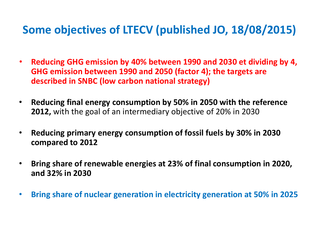#### Some objectives of LTECV (published JO, 18/08/2015)

- **Reducing GHG emission by 40% between 1990 and 2030 et dividing by 4, GHG** emission between 1990 and 2050 (factor 4); the targets are **described in SNBC (low carbon national strategy)**
- **Reducing final energy consumption by 50% in 2050 with the reference 2012,** with the goal of an intermediary objective of 20% in 2030
- **Reducing primary energy consumption of fossil fuels by 30% in 2030 compared to 2012**
- **Bring share of renewable energies at 23% of final consumption in 2020, and 32% in 2030**
- **Bring share of nuclear generation in electricity generation at 50% in 2025**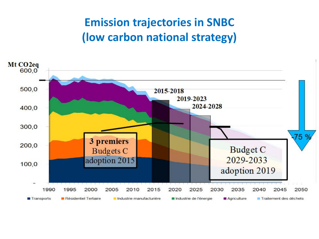## **Emission trajectories in SNBC (low carbon national strategy)**

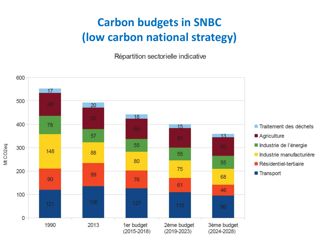# **Carbon budgets in SNBC (low carbon national strategy)**

Répartition sectorielle indicative